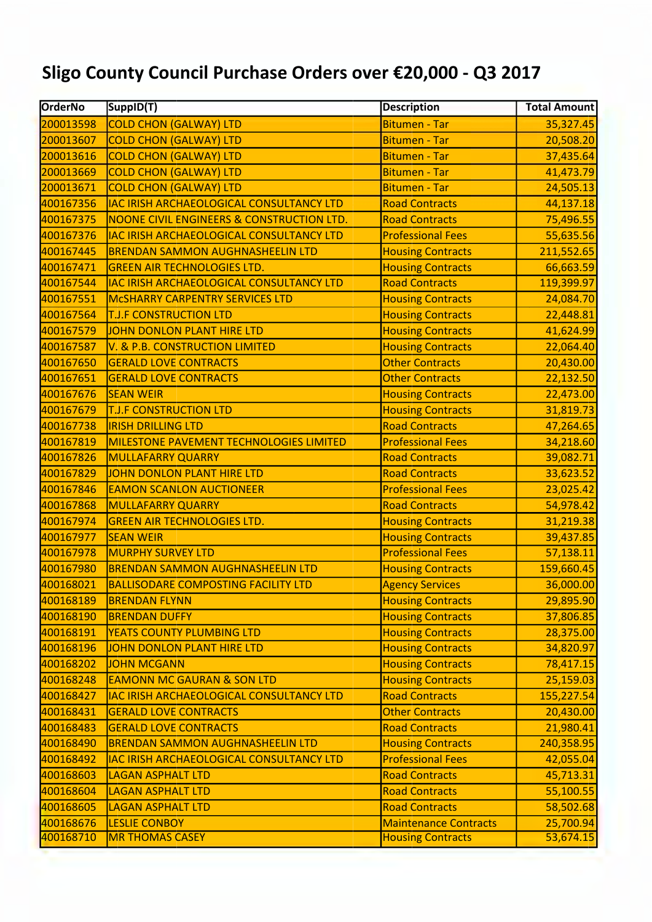## Sligo County Council Purchase Orders over €20,000 - Q3 2017

| <b>OrderNo</b> | SuppID(T)                                       | <b>Description</b>           | <b>Total Amount</b> |
|----------------|-------------------------------------------------|------------------------------|---------------------|
| 200013598      | <b>COLD CHON (GALWAY) LTD</b>                   | <b>Bitumen - Tar</b>         | 35,327.45           |
| 200013607      | <b>COLD CHON (GALWAY) LTD</b>                   | <b>Bitumen - Tar</b>         | 20,508.20           |
| 200013616      | <b>COLD CHON (GALWAY) LTD</b>                   | <b>Bitumen - Tar</b>         | 37,435.64           |
| 200013669      | <b>COLD CHON (GALWAY) LTD</b>                   | <b>Bitumen - Tar</b>         | 41,473.79           |
| 200013671      | <b>COLD CHON (GALWAY) LTD</b>                   | <b>Bitumen - Tar</b>         | 24,505.13           |
| 400167356      | IAC IRISH ARCHAEOLOGICAL CONSULTANCY LTD        | <b>Road Contracts</b>        | 44,137.18           |
| 400167375      | NOONE CIVIL ENGINEERS & CONSTRUCTION LTD.       | <b>Road Contracts</b>        | 75,496.55           |
| 400167376      | IAC IRISH ARCHAEOLOGICAL CONSULTANCY LTD        | <b>Professional Fees</b>     | 55,635.56           |
| 400167445      | <b>BRENDAN SAMMON AUGHNASHEELIN LTD</b>         | <b>Housing Contracts</b>     | 211,552.65          |
| 400167471      | <b>GREEN AIR TECHNOLOGIES LTD.</b>              | <b>Housing Contracts</b>     | 66,663.59           |
| 400167544      | <b>IAC IRISH ARCHAEOLOGICAL CONSULTANCY LTD</b> | <b>Road Contracts</b>        | 119,399.97          |
| 400167551      | <b>MCSHARRY CARPENTRY SERVICES LTD</b>          | <b>Housing Contracts</b>     | 24,084.70           |
| 400167564      | <b>T.J.F CONSTRUCTION LTD</b>                   | <b>Housing Contracts</b>     | 22,448.81           |
| 400167579      | JOHN DONLON PLANT HIRE LTD                      | <b>Housing Contracts</b>     | 41,624.99           |
| 400167587      | V. & P.B. CONSTRUCTION LIMITED                  | <b>Housing Contracts</b>     | 22,064.40           |
| 400167650      | <b>GERALD LOVE CONTRACTS</b>                    | <b>Other Contracts</b>       | 20,430.00           |
| 400167651      | <b>GERALD LOVE CONTRACTS</b>                    | <b>Other Contracts</b>       | 22,132.50           |
| 400167676      | <b>SEAN WEIR</b>                                | <b>Housing Contracts</b>     | 22,473.00           |
| 400167679      | <b>T.J.F CONSTRUCTION LTD</b>                   | <b>Housing Contracts</b>     | 31,819.73           |
| 400167738      | <b>IRISH DRILLING LTD</b>                       | <b>Road Contracts</b>        | 47,264.65           |
| 400167819      | MILESTONE PAVEMENT TECHNOLOGIES LIMITED         | <b>Professional Fees</b>     | 34,218.60           |
| 400167826      | <b>MULLAFARRY QUARRY</b>                        | <b>Road Contracts</b>        | 39,082.71           |
| 400167829      | JOHN DONLON PLANT HIRE LTD                      | <b>Road Contracts</b>        | 33,623.52           |
| 400167846      | <b>EAMON SCANLON AUCTIONEER</b>                 | <b>Professional Fees</b>     | 23,025.42           |
| 400167868      | <b>MULLAFARRY QUARRY</b>                        | <b>Road Contracts</b>        | 54,978.42           |
| 400167974      | <b>GREEN AIR TECHNOLOGIES LTD.</b>              | <b>Housing Contracts</b>     | 31,219.38           |
| 400167977      | <b>SEAN WEIR</b>                                | <b>Housing Contracts</b>     | 39,437.85           |
| 400167978      | <b>MURPHY SURVEY LTD</b>                        | <b>Professional Fees</b>     | 57,138.11           |
| 400167980      | <b>BRENDAN SAMMON AUGHNASHEELIN LTD</b>         | <b>Housing Contracts</b>     | 159,660.45          |
| 400168021      | <b>BALLISODARE COMPOSTING FACILITY LTD</b>      | <b>Agency Services</b>       | 36,000.00           |
| 400168189      | <b>BRENDAN FLYNN</b>                            | <b>Housing Contracts</b>     | 29,895.90           |
| 400168190      | <b>BRENDAN DUFFY</b>                            | <b>Housing Contracts</b>     | 37,806.85           |
| 400168191      | <b>YEATS COUNTY PLUMBING LTD</b>                | <b>Housing Contracts</b>     | 28,375.00           |
| 400168196      | JOHN DONLON PLANT HIRE LTD                      | <b>Housing Contracts</b>     | 34,820.97           |
| 400168202      | <b>JOHN MCGANN</b>                              | <b>Housing Contracts</b>     | 78,417.15           |
| 400168248      | <b>EAMONN MC GAURAN &amp; SON LTD</b>           | <b>Housing Contracts</b>     | 25,159.03           |
| 400168427      | IAC IRISH ARCHAEOLOGICAL CONSULTANCY LTD        | <b>Road Contracts</b>        | 155,227.54          |
| 400168431      | <b>GERALD LOVE CONTRACTS</b>                    | <b>Other Contracts</b>       | 20,430.00           |
| 400168483      | <b>GERALD LOVE CONTRACTS</b>                    | <b>Road Contracts</b>        | 21,980.41           |
| 400168490      | <b>BRENDAN SAMMON AUGHNASHEELIN LTD</b>         | <b>Housing Contracts</b>     | 240,358.95          |
| 400168492      | IAC IRISH ARCHAEOLOGICAL CONSULTANCY LTD        | <b>Professional Fees</b>     | 42,055.04           |
| 400168603      | <b>LAGAN ASPHALT LTD</b>                        | <b>Road Contracts</b>        | 45,713.31           |
| 400168604      | <b>LAGAN ASPHALT LTD</b>                        | <b>Road Contracts</b>        | 55,100.55           |
| 400168605      | <b>LAGAN ASPHALT LTD</b>                        | <b>Road Contracts</b>        | 58,502.68           |
| 400168676      | <b>LESLIE CONBOY</b>                            | <b>Maintenance Contracts</b> | 25,700.94           |
| 400168710      | <b>MR THOMAS CASEY</b>                          | <b>Housing Contracts</b>     | 53,674.15           |